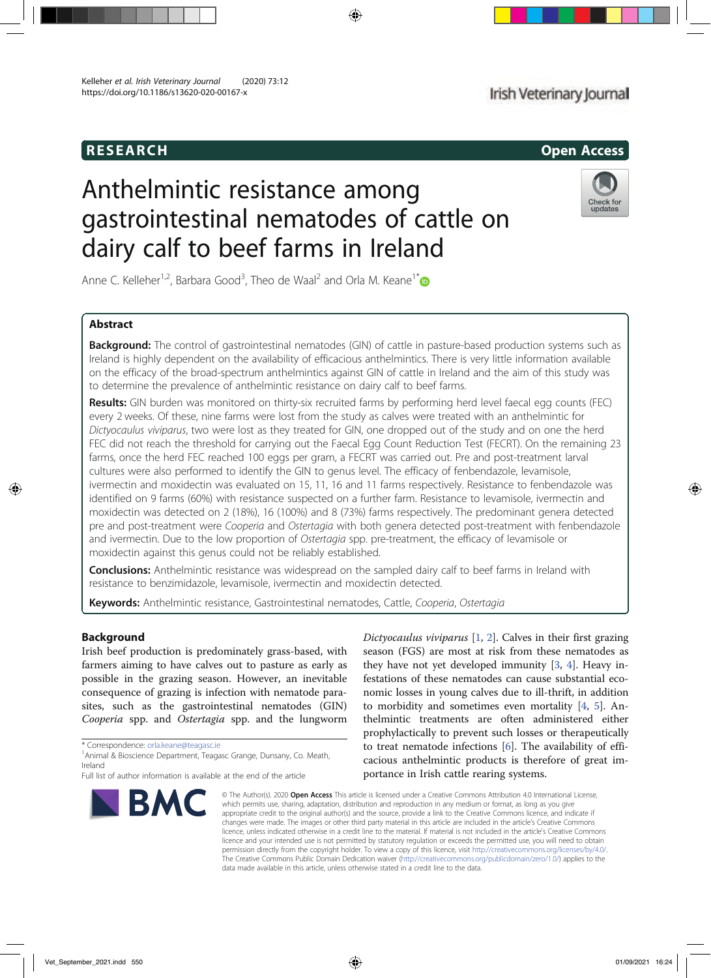# RESEARCH Open Access

# Anthelmintic resistance among gastrointestinal nematodes of cattle on dairy calf to beef farms in Ireland



Anne C. Kelleher<sup>1,2</sup>, Barbara Good<sup>3</sup>, Theo de Waal<sup>2</sup> and Orla M. Keane<sup>1\*</sup>

# Abstract

Background: The control of gastrointestinal nematodes (GIN) of cattle in pasture-based production systems such as Ireland is highly dependent on the availability of efficacious anthelmintics. There is very little information available on the efficacy of the broad-spectrum anthelmintics against GIN of cattle in Ireland and the aim of this study was to determine the prevalence of anthelmintic resistance on dairy calf to beef farms.

Results: GIN burden was monitored on thirty-six recruited farms by performing herd level faecal egg counts (FEC) every 2 weeks. Of these, nine farms were lost from the study as calves were treated with an anthelmintic for Dictyocaulus viviparus, two were lost as they treated for GIN, one dropped out of the study and on one the herd FEC did not reach the threshold for carrying out the Faecal Egg Count Reduction Test (FECRT). On the remaining 23 farms, once the herd FEC reached 100 eggs per gram, a FECRT was carried out. Pre and post-treatment larval cultures were also performed to identify the GIN to genus level. The efficacy of fenbendazole, levamisole, ivermectin and moxidectin was evaluated on 15, 11, 16 and 11 farms respectively. Resistance to fenbendazole was identified on 9 farms (60%) with resistance suspected on a further farm. Resistance to levamisole, ivermectin and moxidectin was detected on 2 (18%), 16 (100%) and 8 (73%) farms respectively. The predominant genera detected pre and post-treatment were Cooperia and Ostertagia with both genera detected post-treatment with fenbendazole and ivermectin. Due to the low proportion of Ostertagia spp. pre-treatment, the efficacy of levamisole or moxidectin against this genus could not be reliably established.

Conclusions: Anthelmintic resistance was widespread on the sampled dairy calf to beef farms in Ireland with resistance to benzimidazole, levamisole, ivermectin and moxidectin detected.

Keywords: Anthelmintic resistance, Gastrointestinal nematodes, Cattle, Cooperia, Ostertagia

# Background

Irish beef production is predominately grass-based, with farmers aiming to have calves out to pasture as early as possible in the grazing season. However, an inevitable consequence of grazing is infection with nematode parasites, such as the gastrointestinal nematodes (GIN) Cooperia spp. and Ostertagia spp. and the lungworm

\* Correspondence: orla.keane@teagasc.ie <sup>1</sup>

<sup>1</sup> Animal & Bioscience Department, Teagasc Grange, Dunsany, Co. Meath, Ireland

Full list of author information is available at the end of the article



Dictyocaulus viviparus [1, 2]. Calves in their first grazing season (FGS) are most at risk from these nematodes as they have not yet developed immunity [3, 4]. Heavy infestations of these nematodes can cause substantial economic losses in young calves due to ill-thrift, in addition to morbidity and sometimes even mortality [4, 5]. Anthelmintic treatments are often administered either prophylactically to prevent such losses or therapeutically to treat nematode infections [6]. The availability of efficacious anthelmintic products is therefore of great importance in Irish cattle rearing systems.

© The Author(s). 2020 Open Access This article is licensed under a Creative Commons Attribution 4.0 International License, which permits use, sharing, adaptation, distribution and reproduction in any medium or format, as long as you give appropriate credit to the original author(s) and the source, provide a link to the Creative Commons licence, and indicate if changes were made. The images or other third party material in this article are included in the article's Creative Commons licence, unless indicated otherwise in a credit line to the material. If material is not included in the article's Creative Commons licence and your intended use is not permitted by statutory regulation or exceeds the permitted use, you will need to obtain permission directly from the copyright holder. To view a copy of this licence, visit http://creativecommons.org/licenses/by/4.0/. The Creative Commons Public Domain Dedication waiver (http://creativecommons.org/publicdomain/zero/1.0/) applies to the data made available in this article, unless otherwise stated in a credit line to the data.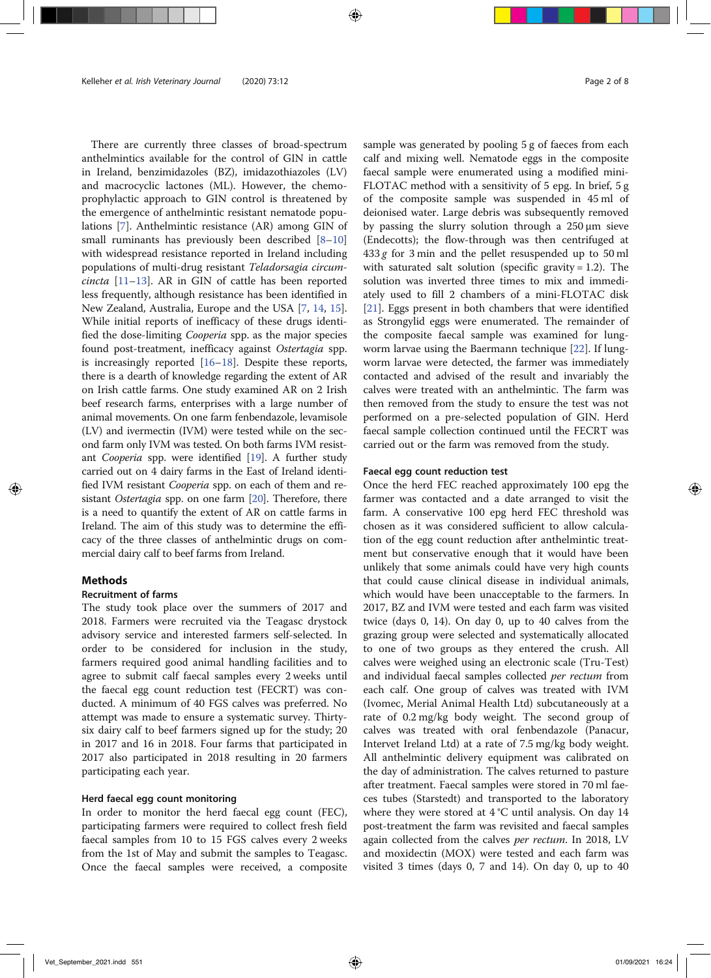There are currently three classes of broad-spectrum anthelmintics available for the control of GIN in cattle in Ireland, benzimidazoles (BZ), imidazothiazoles (LV) and macrocyclic lactones (ML). However, the chemoprophylactic approach to GIN control is threatened by the emergence of anthelmintic resistant nematode populations [7]. Anthelmintic resistance (AR) among GIN of small ruminants has previously been described [8–10] with widespread resistance reported in Ireland including populations of multi-drug resistant Teladorsagia circumcincta [11–13]. AR in GIN of cattle has been reported less frequently, although resistance has been identified in New Zealand, Australia, Europe and the USA [7, 14, 15]. While initial reports of inefficacy of these drugs identified the dose-limiting Cooperia spp. as the major species found post-treatment, inefficacy against Ostertagia spp. is increasingly reported [16–18]. Despite these reports, there is a dearth of knowledge regarding the extent of AR on Irish cattle farms. One study examined AR on 2 Irish beef research farms, enterprises with a large number of animal movements. On one farm fenbendazole, levamisole (LV) and ivermectin (IVM) were tested while on the second farm only IVM was tested. On both farms IVM resistant Cooperia spp. were identified [19]. A further study carried out on 4 dairy farms in the East of Ireland identified IVM resistant Cooperia spp. on each of them and resistant Ostertagia spp. on one farm [20]. Therefore, there is a need to quantify the extent of AR on cattle farms in Ireland. The aim of this study was to determine the efficacy of the three classes of anthelmintic drugs on commercial dairy calf to beef farms from Ireland.

# Methods

# Recruitment of farms

The study took place over the summers of 2017 and 2018. Farmers were recruited via the Teagasc drystock advisory service and interested farmers self-selected. In order to be considered for inclusion in the study, farmers required good animal handling facilities and to agree to submit calf faecal samples every 2 weeks until the faecal egg count reduction test (FECRT) was conducted. A minimum of 40 FGS calves was preferred. No attempt was made to ensure a systematic survey. Thirtysix dairy calf to beef farmers signed up for the study; 20 in 2017 and 16 in 2018. Four farms that participated in 2017 also participated in 2018 resulting in 20 farmers participating each year.

# Herd faecal egg count monitoring

In order to monitor the herd faecal egg count (FEC), participating farmers were required to collect fresh field faecal samples from 10 to 15 FGS calves every 2 weeks from the 1st of May and submit the samples to Teagasc. Once the faecal samples were received, a composite sample was generated by pooling 5 g of faeces from each calf and mixing well. Nematode eggs in the composite faecal sample were enumerated using a modified mini-FLOTAC method with a sensitivity of 5 epg. In brief, 5 g of the composite sample was suspended in 45 ml of deionised water. Large debris was subsequently removed by passing the slurry solution through a 250 μm sieve (Endecotts); the flow-through was then centrifuged at  $433 g$  for 3 min and the pellet resuspended up to 50 ml with saturated salt solution (specific gravity  $= 1.2$ ). The solution was inverted three times to mix and immediately used to fill 2 chambers of a mini-FLOTAC disk [21]. Eggs present in both chambers that were identified as Strongylid eggs were enumerated. The remainder of the composite faecal sample was examined for lungworm larvae using the Baermann technique [22]. If lungworm larvae were detected, the farmer was immediately contacted and advised of the result and invariably the calves were treated with an anthelmintic. The farm was then removed from the study to ensure the test was not performed on a pre-selected population of GIN. Herd faecal sample collection continued until the FECRT was carried out or the farm was removed from the study.

# Faecal egg count reduction test

Once the herd FEC reached approximately 100 epg the farmer was contacted and a date arranged to visit the farm. A conservative 100 epg herd FEC threshold was chosen as it was considered sufficient to allow calculation of the egg count reduction after anthelmintic treatment but conservative enough that it would have been unlikely that some animals could have very high counts that could cause clinical disease in individual animals, which would have been unacceptable to the farmers. In 2017, BZ and IVM were tested and each farm was visited twice (days 0, 14). On day 0, up to 40 calves from the grazing group were selected and systematically allocated to one of two groups as they entered the crush. All calves were weighed using an electronic scale (Tru-Test) and individual faecal samples collected *per rectum* from each calf. One group of calves was treated with IVM (Ivomec, Merial Animal Health Ltd) subcutaneously at a rate of 0.2 mg/kg body weight. The second group of calves was treated with oral fenbendazole (Panacur, Intervet Ireland Ltd) at a rate of 7.5 mg/kg body weight. All anthelmintic delivery equipment was calibrated on the day of administration. The calves returned to pasture after treatment. Faecal samples were stored in 70 ml faeces tubes (Starstedt) and transported to the laboratory where they were stored at 4 °C until analysis. On day 14 post-treatment the farm was revisited and faecal samples again collected from the calves per rectum. In 2018, LV and moxidectin (MOX) were tested and each farm was visited 3 times (days 0, 7 and 14). On day 0, up to 40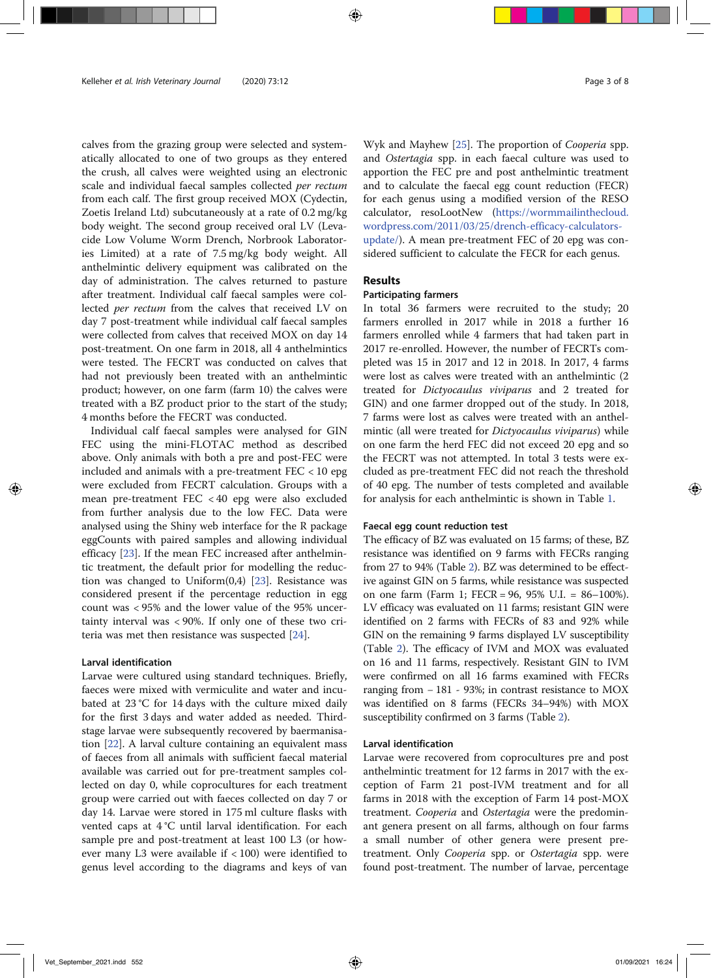calves from the grazing group were selected and systematically allocated to one of two groups as they entered the crush, all calves were weighted using an electronic scale and individual faecal samples collected per rectum from each calf. The first group received MOX (Cydectin, Zoetis Ireland Ltd) subcutaneously at a rate of 0.2 mg/kg body weight. The second group received oral LV (Levacide Low Volume Worm Drench, Norbrook Laboratories Limited) at a rate of 7.5 mg/kg body weight. All anthelmintic delivery equipment was calibrated on the day of administration. The calves returned to pasture after treatment. Individual calf faecal samples were collected per rectum from the calves that received LV on day 7 post-treatment while individual calf faecal samples were collected from calves that received MOX on day 14 post-treatment. On one farm in 2018, all 4 anthelmintics were tested. The FECRT was conducted on calves that had not previously been treated with an anthelmintic product; however, on one farm (farm 10) the calves were treated with a BZ product prior to the start of the study; 4 months before the FECRT was conducted.

Individual calf faecal samples were analysed for GIN FEC using the mini-FLOTAC method as described above. Only animals with both a pre and post-FEC were included and animals with a pre-treatment FEC < 10 epg were excluded from FECRT calculation. Groups with a mean pre-treatment FEC < 40 epg were also excluded from further analysis due to the low FEC. Data were analysed using the Shiny web interface for the R package eggCounts with paired samples and allowing individual efficacy [23]. If the mean FEC increased after anthelmintic treatment, the default prior for modelling the reduction was changed to Uniform(0,4) [23]. Resistance was considered present if the percentage reduction in egg count was < 95% and the lower value of the 95% uncertainty interval was < 90%. If only one of these two criteria was met then resistance was suspected [24].

# Larval identification

Larvae were cultured using standard techniques. Briefly, faeces were mixed with vermiculite and water and incubated at 23 °C for 14 days with the culture mixed daily for the first 3 days and water added as needed. Thirdstage larvae were subsequently recovered by baermanisation [22]. A larval culture containing an equivalent mass of faeces from all animals with sufficient faecal material available was carried out for pre-treatment samples collected on day 0, while coprocultures for each treatment group were carried out with faeces collected on day 7 or day 14. Larvae were stored in 175 ml culture flasks with vented caps at 4 °C until larval identification. For each sample pre and post-treatment at least 100 L3 (or however many L3 were available if < 100) were identified to genus level according to the diagrams and keys of van

Wyk and Mayhew [25]. The proportion of Cooperia spp. and Ostertagia spp. in each faecal culture was used to apportion the FEC pre and post anthelmintic treatment and to calculate the faecal egg count reduction (FECR) for each genus using a modified version of the RESO calculator, resoLootNew (https://wormmailinthecloud. wordpress.com/2011/03/25/drench-efficacy-calculatorsupdate/). A mean pre-treatment FEC of 20 epg was considered sufficient to calculate the FECR for each genus.

# Results

# Participating farmers

In total 36 farmers were recruited to the study; 20 farmers enrolled in 2017 while in 2018 a further 16 farmers enrolled while 4 farmers that had taken part in 2017 re-enrolled. However, the number of FECRTs completed was 15 in 2017 and 12 in 2018. In 2017, 4 farms were lost as calves were treated with an anthelmintic (2 treated for Dictyocaulus viviparus and 2 treated for GIN) and one farmer dropped out of the study. In 2018, 7 farms were lost as calves were treated with an anthelmintic (all were treated for *Dictyocaulus viviparus*) while on one farm the herd FEC did not exceed 20 epg and so the FECRT was not attempted. In total 3 tests were excluded as pre-treatment FEC did not reach the threshold of 40 epg. The number of tests completed and available for analysis for each anthelmintic is shown in Table 1.

# Faecal egg count reduction test

The efficacy of BZ was evaluated on 15 farms; of these, BZ resistance was identified on 9 farms with FECRs ranging from 27 to 94% (Table 2). BZ was determined to be effective against GIN on 5 farms, while resistance was suspected on one farm (Farm 1; FECR = 96, 95% U.I. = 86–100%). LV efficacy was evaluated on 11 farms; resistant GIN were identified on 2 farms with FECRs of 83 and 92% while GIN on the remaining 9 farms displayed LV susceptibility (Table 2). The efficacy of IVM and MOX was evaluated on 16 and 11 farms, respectively. Resistant GIN to IVM were confirmed on all 16 farms examined with FECRs ranging from − 181 - 93%; in contrast resistance to MOX was identified on 8 farms (FECRs 34–94%) with MOX susceptibility confirmed on 3 farms (Table 2).

# Larval identification

Larvae were recovered from coprocultures pre and post anthelmintic treatment for 12 farms in 2017 with the exception of Farm 21 post-IVM treatment and for all farms in 2018 with the exception of Farm 14 post-MOX treatment. Cooperia and Ostertagia were the predominant genera present on all farms, although on four farms a small number of other genera were present pretreatment. Only Cooperia spp. or Ostertagia spp. were found post-treatment. The number of larvae, percentage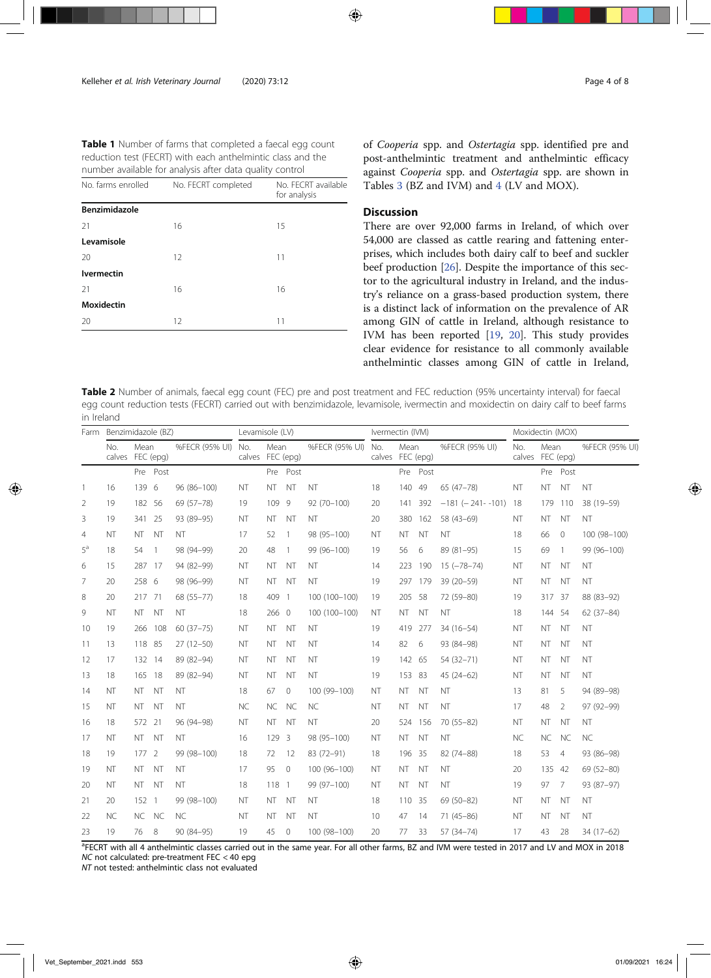| <b>Table 1</b> Number of farms that completed a faecal egg count |
|------------------------------------------------------------------|
| reduction test (FECRT) with each anthelmintic class and the      |
| number available for analysis after data quality control         |

|                    | ╭                   |                                     |
|--------------------|---------------------|-------------------------------------|
| No. farms enrolled | No. FECRT completed | No. FECRT available<br>for analysis |
| Benzimidazole      |                     |                                     |
| 21                 | 16                  | 15                                  |
| Levamisole         |                     |                                     |
| 20                 | 12                  | 11                                  |
| <b>Ivermectin</b>  |                     |                                     |
| 21                 | 16                  | 16                                  |
| <b>Moxidectin</b>  |                     |                                     |
| 20                 | 12                  | 11                                  |

of Cooperia spp. and Ostertagia spp. identified pre and post-anthelmintic treatment and anthelmintic efficacy against Cooperia spp. and Ostertagia spp. are shown in Tables 3 (BZ and IVM) and 4 (LV and MOX).

# **Discussion**

There are over 92,000 farms in Ireland, of which over 54,000 are classed as cattle rearing and fattening enterprises, which includes both dairy calf to beef and suckler beef production [26]. Despite the importance of this sector to the agricultural industry in Ireland, and the industry's reliance on a grass-based production system, there is a distinct lack of information on the prevalence of AR among GIN of cattle in Ireland, although resistance to IVM has been reported [19, 20]. This study provides clear evidence for resistance to all commonly available anthelmintic classes among GIN of cattle in Ireland,

Table 2 Number of animals, faecal egg count (FEC) pre and post treatment and FEC reduction (95% uncertainty interval) for faecal egg count reduction tests (FECRT) carried out with benzimidazole, levamisole, ivermectin and moxidectin on dairy calf to beef farms in Ireland

| Farm  | Benzimidazole (BZ) |                          |                | Levamisole (LV)    |                  |           |                | Ivermectin (IVM) |                         |           |           | Moxidectin (MOX)           |               |           |                |                |
|-------|--------------------|--------------------------|----------------|--------------------|------------------|-----------|----------------|------------------|-------------------------|-----------|-----------|----------------------------|---------------|-----------|----------------|----------------|
|       | No.                | Mean<br>calves FEC (epg) |                | %FECR (95% UI) No. | calves FEC (epg) | Mean      |                | %FECR (95% UI)   | No.<br>calves FEC (epg) | Mean      |           | %FECR (95% UI)             | No.<br>calves | Mean      | FEC (epg)      | %FECR (95% UI) |
|       |                    |                          | Pre Post       |                    |                  |           | Pre Post       |                  |                         |           | Pre Post  |                            |               |           | Pre Post       |                |
| -1    | 16                 | 139 6                    |                | 96 (86-100)        | <b>NT</b>        | <b>NT</b> | <b>NT</b>      | <b>NT</b>        | 18                      | 140       | 49        | 65 (47-78)                 | NT            | <b>NT</b> | <b>NT</b>      | <b>NT</b>      |
| 2     | 19                 | 182 56                   |                | 69 (57-78)         | 19               | 109       | 9              | $92(70-100)$     | 20                      | 141       | 392       | $-181$ ( $-241$ - $-101$ ) | 18            | 179       | 110            | 38 (19-59)     |
| 3     | 19                 | 341 25                   |                | 93 (89-95)         | NT               | NT.       | - NT           | <b>NT</b>        | 20                      |           | 380 162   | 58 (43-69)                 | ΝT            | NT.       | NT             | <b>NT</b>      |
| 4     | <b>NT</b>          | NT.                      | <b>NT</b>      | <b>NT</b>          | 17               | 52        | $\overline{1}$ | 98 (95-100)      | <b>NT</b>               | <b>NT</b> | <b>NT</b> | <b>NT</b>                  | 18            | 66        | $\mathbf{0}$   | 100 (98-100)   |
| $5^a$ | 18                 | 54                       | $\overline{1}$ | 98 (94-99)         | 20               | 48        | $\overline{1}$ | 99 (96-100)      | 19                      | 56        | 6         | 89 (81-95)                 | 15            | 69        | $\overline{1}$ | 99 (96-100)    |
| 6     | 15                 | 287 17                   |                | 94 (82-99)         | NT               | NT.       | <b>NT</b>      | <b>NT</b>        | 14                      |           | 223 190   | $15 (-78 - 74)$            | NT            | NT        | - NT           | NT             |
| 7     | 20                 | 258 6                    |                | 98 (96-99)         | <b>NT</b>        | NT NT     |                | <b>NT</b>        | 19                      |           | 297 179   | 39 (20-59)                 | NT            | NT.       | <b>NT</b>      | <b>NT</b>      |
| 8     | 20                 | 217 71                   |                | 68 (55-77)         | 18               | 409 1     |                | 100 (100-100)    | 19                      | 205       | 58        | 72 (59-80)                 | 19            | 317 37    |                | 88 (83-92)     |
| 9     | NT                 | NT.                      | NT             | NT                 | 18               | 266 0     |                | 100 (100-100)    | NT                      | <b>NT</b> | <b>NT</b> | NT                         | 18            | 144       | 54             | $62(37-84)$    |
| 10    | 19                 |                          | 266 108        | $60(37 - 75)$      | <b>NT</b>        | NT.       | <b>NT</b>      | <b>NT</b>        | 19                      | 419       | 277       | $34(16-54)$                | NT            | NT        | NT             | <b>NT</b>      |
| 11    | 13                 | 118 85                   |                | $27(12-50)$        | <b>NT</b>        | <b>NT</b> | <b>NT</b>      | <b>NT</b>        | 14                      | 82        | 6         | 93 (84-98)                 | NT            | <b>NT</b> | <b>NT</b>      | <b>NT</b>      |
| 12    | 17                 | 132 14                   |                | 89 (82-94)         | <b>NT</b>        | <b>NT</b> | <b>NT</b>      | <b>NT</b>        | 19                      | 142 65    |           | 54 (32-71)                 | NT            | <b>NT</b> | <b>NT</b>      | <b>NT</b>      |
| 13    | 18                 | 165 18                   |                | 89 (82-94)         | <b>NT</b>        | <b>NT</b> | <b>NT</b>      | <b>NT</b>        | 19                      | 153 83    |           | $45(24-62)$                | <b>NT</b>     | <b>NT</b> | <b>NT</b>      | <b>NT</b>      |
| 14    | NT                 | NT.                      | NT             | NT                 | 18               | 67        | $\mathbf{0}$   | 100 (99-100)     | <b>NT</b>               | <b>NT</b> | <b>NT</b> | <b>NT</b>                  | 13            | 81        | 5              | 94 (89-98)     |
| 15    | <b>NT</b>          | NT.                      | NT             | <b>NT</b>          | <b>NC</b>        | <b>NC</b> | <b>NC</b>      | <b>NC</b>        | NT                      | <b>NT</b> | <b>NT</b> | NT                         | 17            | 48        | 2              | 97 (92-99)     |
| 16    | 18                 | 572                      | 21             | 96 (94-98)         | NT               | NT.       | <b>NT</b>      | <b>NT</b>        | 20                      | 524       | 156       | 70 (55-82)                 | NT            | <b>NT</b> | NT             | <b>NT</b>      |
| 17    | NT                 | NT NT                    |                | <b>NT</b>          | 16               | 129 3     |                | 98 (95-100)      | NT                      | <b>NT</b> | <b>NT</b> | NT                         | <b>NC</b>     | <b>NC</b> | <b>NC</b>      | <b>NC</b>      |
| 18    | 19                 | 177 2                    |                | 99 (98-100)        | 18               | 72        | - 12           | 83 (72-91)       | 18                      | 196       | - 35      | 82 (74-88)                 | 18            | 53        | $\overline{4}$ | 93 (86-98)     |
| 19    | <b>NT</b>          | NT NT                    |                | <b>NT</b>          | 17               | 95        | $\overline{0}$ | 100 (96-100)     | <b>NT</b>               | <b>NT</b> | <b>NT</b> | <b>NT</b>                  | 20            | 135       | 42             | 69 (52-80)     |
| 20    | <b>NT</b>          | <b>NT</b>                | <b>NT</b>      | <b>NT</b>          | 18               | 118 1     |                | 99 (97-100)      | <b>NT</b>               | <b>NT</b> | <b>NT</b> | <b>NT</b>                  | 19            | 97        | 7              | 93 (87-97)     |
| 21    | 20                 | 152                      | $\overline{1}$ | 99 (98-100)        | <b>NT</b>        | NT.       | <b>NT</b>      | NT               | 18                      | 110       | - 35      | 69 (50-82)                 | NT            | NT        | <b>NT</b>      | NT             |
| 22    | <b>NC</b>          | NC NC                    |                | <b>NC</b>          | NT               | <b>NT</b> | <b>NT</b>      | <b>NT</b>        | 10                      | 47        | 14        | $71(45 - 86)$              | NT            | <b>NT</b> | <b>NT</b>      | NT             |
| 23    | 19                 | 76                       | 8              | 90 (84-95)         | 19               | 45        | $\mathbf{0}$   | 100 (98-100)     | 20                      | 77        | 33        | 57 (34-74)                 | 17            | 43        | 28             | 34 (17-62)     |

<sup>a</sup>FECRT with all 4 anthelmintic classes carried out in the same year. For all other farms, BZ and IVM were tested in 2017 and LV and MOX in 2018 NC not calculated: pre-treatment FEC < 40 epg

NT not tested: anthelmintic class not evaluated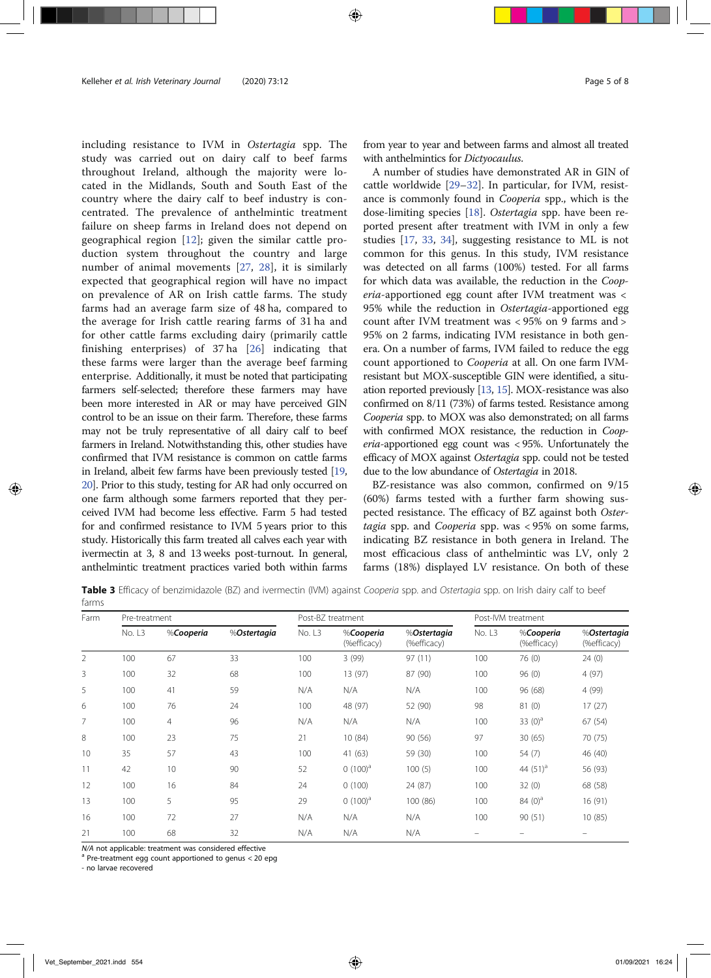including resistance to IVM in Ostertagia spp. The study was carried out on dairy calf to beef farms throughout Ireland, although the majority were located in the Midlands, South and South East of the country where the dairy calf to beef industry is concentrated. The prevalence of anthelmintic treatment failure on sheep farms in Ireland does not depend on geographical region [12]; given the similar cattle production system throughout the country and large number of animal movements [27, 28], it is similarly expected that geographical region will have no impact on prevalence of AR on Irish cattle farms. The study farms had an average farm size of 48 ha, compared to the average for Irish cattle rearing farms of 31 ha and for other cattle farms excluding dairy (primarily cattle finishing enterprises) of 37 ha [26] indicating that these farms were larger than the average beef farming enterprise. Additionally, it must be noted that participating farmers self-selected; therefore these farmers may have been more interested in AR or may have perceived GIN control to be an issue on their farm. Therefore, these farms may not be truly representative of all dairy calf to beef farmers in Ireland. Notwithstanding this, other studies have confirmed that IVM resistance is common on cattle farms in Ireland, albeit few farms have been previously tested [19, 20]. Prior to this study, testing for AR had only occurred on one farm although some farmers reported that they perceived IVM had become less effective. Farm 5 had tested for and confirmed resistance to IVM 5 years prior to this study. Historically this farm treated all calves each year with ivermectin at 3, 8 and 13 weeks post-turnout. In general, anthelmintic treatment practices varied both within farms

from year to year and between farms and almost all treated with anthelmintics for *Dictvocaulus*.

A number of studies have demonstrated AR in GIN of cattle worldwide [29–32]. In particular, for IVM, resistance is commonly found in *Cooperia* spp., which is the dose-limiting species [18]. Ostertagia spp. have been reported present after treatment with IVM in only a few studies [17, 33, 34], suggesting resistance to ML is not common for this genus. In this study, IVM resistance was detected on all farms (100%) tested. For all farms for which data was available, the reduction in the Cooperia-apportioned egg count after IVM treatment was < 95% while the reduction in Ostertagia-apportioned egg count after IVM treatment was < 95% on 9 farms and > 95% on 2 farms, indicating IVM resistance in both genera. On a number of farms, IVM failed to reduce the egg count apportioned to Cooperia at all. On one farm IVMresistant but MOX-susceptible GIN were identified, a situation reported previously [13, 15]. MOX-resistance was also confirmed on 8/11 (73%) of farms tested. Resistance among Cooperia spp. to MOX was also demonstrated; on all farms with confirmed MOX resistance, the reduction in Cooperia-apportioned egg count was < 95%. Unfortunately the efficacy of MOX against Ostertagia spp. could not be tested due to the low abundance of Ostertagia in 2018.

BZ-resistance was also common, confirmed on 9/15 (60%) farms tested with a further farm showing suspected resistance. The efficacy of BZ against both Ostertagia spp. and Cooperia spp. was < 95% on some farms, indicating BZ resistance in both genera in Ireland. The most efficacious class of anthelmintic was LV, only 2 farms (18%) displayed LV resistance. On both of these

Table 3 Efficacy of benzimidazole (BZ) and ivermectin (IVM) against Cooperia spp. and Ostertagia spp. on Irish dairy calf to beef farms

| Farm | Pre-treatment       |                |             |        | Post-BZ treatment        |                            | Post-IVM treatment |                          |                            |  |
|------|---------------------|----------------|-------------|--------|--------------------------|----------------------------|--------------------|--------------------------|----------------------------|--|
|      | No. L3<br>%Cooperia |                | %Ostertagia | No. L3 | %Cooperia<br>(%efficacy) | %Ostertagia<br>(%efficacy) | No. L <sub>3</sub> | %Cooperia<br>(%efficacy) | %Ostertagia<br>(%efficacy) |  |
| 2    | 100                 | 67             | 33          | 100    | 3 (99)                   | 97(11)                     | 100                | 76 (0)                   | 24(0)                      |  |
| 3    | 100                 | 32             | 68          | 100    | 13 (97)                  | 87 (90)                    | 100                | 96(0)                    | 4(97)                      |  |
| 5    | 100                 | 41             | 59          | N/A    | N/A                      | N/A                        | 100                | 96 (68)                  | 4 (99)                     |  |
| 6    | 100                 | 76             | 24          | 100    | 48 (97)                  | 52 (90)                    | 98                 | 81 (0)                   | 17(27)                     |  |
| 7    | 100                 | $\overline{4}$ | 96          | N/A    | N/A                      | N/A                        | 100                | 33 $(0)^a$               | 67(54)                     |  |
| 8    | 100                 | 23             | 75          | 21     | 10(84)                   | 90 (56)                    | 97                 | 30(65)                   | 70 (75)                    |  |
| 10   | 35                  | 57             | 43          | 100    | 41 (63)                  | 59 (30)                    | 100                | 54 (7)                   | 46 (40)                    |  |
| 11   | 42                  | 10             | 90          | 52     | $(100)^a$                | 100(5)                     | 100                | 44 $(51)^a$              | 56 (93)                    |  |
| 12   | 100                 | 16             | 84          | 24     | 0(100)                   | 24 (87)                    | 100                | 32(0)                    | 68 (58)                    |  |
| 13   | 100                 | 5              | 95          | 29     | $(100)^a$                | 100(86)                    | 100                | 84 $(0)^a$               | 16(91)                     |  |
| 16   | 100                 | 72             | 27          | N/A    | N/A                      | N/A                        | 100                | 90 (51)                  | 10(85)                     |  |
| 21   | 100                 | 68             | 32          | N/A    | N/A                      | N/A                        |                    |                          |                            |  |

 $N/A$  not applicable: treatment was considered effective a Pre-treatment egg count apportioned to genus < 20 epg

- no larvae recovered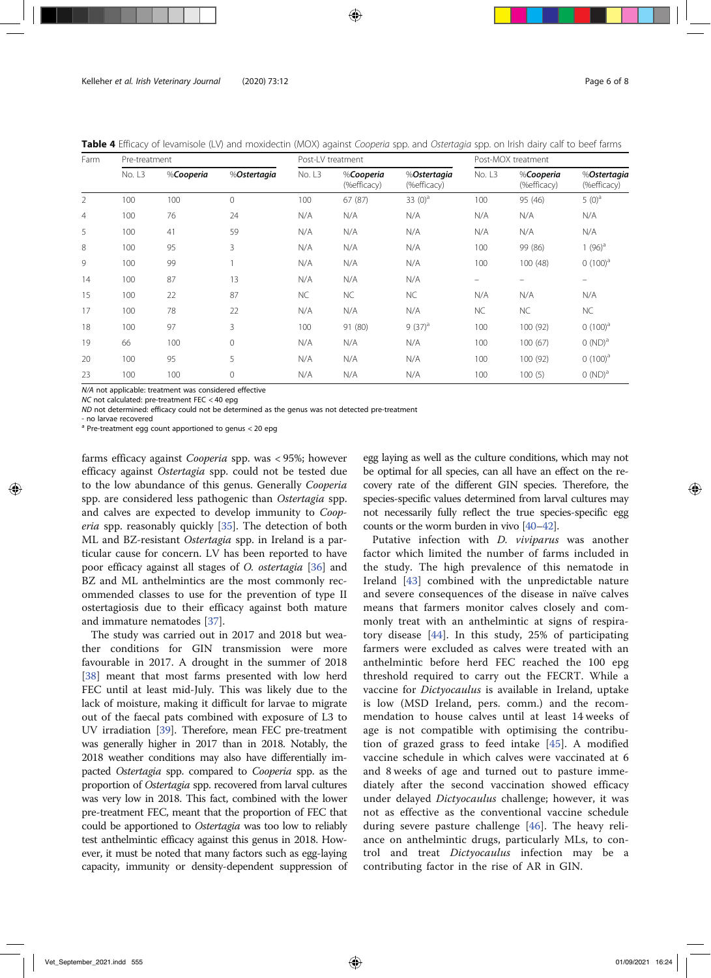Table 4 Efficacy of levamisole (LV) and moxidectin (MOX) against Cooperia spp. and Ostertagia spp. on Irish dairy calf to beef farms

| Farm           | Pre-treatment |           |             | Post-LV treatment |                          |                            | Post-MOX treatment |                          |                            |  |
|----------------|---------------|-----------|-------------|-------------------|--------------------------|----------------------------|--------------------|--------------------------|----------------------------|--|
|                | No. L3        | %Cooperia | %Ostertagia | No. L3            | %Cooperia<br>(%efficacy) | %Ostertagia<br>(%efficacy) | No. L3             | %Cooperia<br>(%efficacy) | %Ostertagia<br>(%efficacy) |  |
| $\overline{2}$ | 100           | 100       | $\mathbf 0$ | 100               | 67(87)                   | 33 $(0)^a$                 | 100                | 95 (46)                  | $5(0)^a$                   |  |
| $\overline{4}$ | 100           | 76        | 24          | N/A               | N/A                      | N/A                        | N/A                | N/A                      | N/A                        |  |
| 5              | 100           | 41        | 59          | N/A               | N/A                      | N/A                        | N/A                | N/A                      | N/A                        |  |
| 8              | 100           | 95        | 3           | N/A               | N/A                      | N/A                        | 100                | 99 (86)                  | 1 $(96)^a$                 |  |
| 9              | 100           | 99        |             | N/A               | N/A                      | N/A                        | 100                | 100(48)                  | $(100)^a$                  |  |
| 14             | 100           | 87        | 13          | N/A               | N/A                      | N/A                        | -                  |                          |                            |  |
| 15             | 100           | 22        | 87          | <b>NC</b>         | <b>NC</b>                | NC                         | N/A                | N/A                      | N/A                        |  |
| 17             | 100           | 78        | 22          | N/A               | N/A                      | N/A                        | <b>NC</b>          | <b>NC</b>                | NC                         |  |
| 18             | 100           | 97        | 3           | 100               | 91 (80)                  | $9(37)^a$                  | 100                | 100 (92)                 | $(100)^a$                  |  |
| 19             | 66            | 100       | $\mathbf 0$ | N/A               | N/A                      | N/A                        | 100                | 100(67)                  | $(ND)^a$                   |  |
| 20             | 100           | 95        | 5           | N/A               | N/A                      | N/A                        | 100                | 100 (92)                 | $(100)^a$                  |  |
| 23             | 100           | 100       | $\mathbf 0$ | N/A               | N/A                      | N/A                        | 100                | 100(5)                   | $(ND)^a$                   |  |

N/A not applicable: treatment was considered effective

NC not calculated: pre-treatment FEC < 40 epg

ND not determined: efficacy could not be determined as the genus was not detected pre-treatment

- no larvae recovered

 $a$  Pre-treatment egg count apportioned to genus  $<$  20 epg

farms efficacy against Cooperia spp. was < 95%; however efficacy against Ostertagia spp. could not be tested due to the low abundance of this genus. Generally Cooperia spp. are considered less pathogenic than Ostertagia spp. and calves are expected to develop immunity to *Coop*eria spp. reasonably quickly [35]. The detection of both ML and BZ-resistant Ostertagia spp. in Ireland is a particular cause for concern. LV has been reported to have poor efficacy against all stages of O. ostertagia [36] and BZ and ML anthelmintics are the most commonly recommended classes to use for the prevention of type II ostertagiosis due to their efficacy against both mature and immature nematodes [37].

The study was carried out in 2017 and 2018 but weather conditions for GIN transmission were more favourable in 2017. A drought in the summer of 2018 [38] meant that most farms presented with low herd FEC until at least mid-July. This was likely due to the lack of moisture, making it difficult for larvae to migrate out of the faecal pats combined with exposure of L3 to UV irradiation [39]. Therefore, mean FEC pre-treatment was generally higher in 2017 than in 2018. Notably, the 2018 weather conditions may also have differentially impacted Ostertagia spp. compared to Cooperia spp. as the proportion of Ostertagia spp. recovered from larval cultures was very low in 2018. This fact, combined with the lower pre-treatment FEC, meant that the proportion of FEC that could be apportioned to Ostertagia was too low to reliably test anthelmintic efficacy against this genus in 2018. However, it must be noted that many factors such as egg-laying capacity, immunity or density-dependent suppression of

egg laying as well as the culture conditions, which may not be optimal for all species, can all have an effect on the recovery rate of the different GIN species. Therefore, the species-specific values determined from larval cultures may not necessarily fully reflect the true species-specific egg counts or the worm burden in vivo [40–42].

Putative infection with *D. viviparus* was another factor which limited the number of farms included in the study. The high prevalence of this nematode in Ireland [43] combined with the unpredictable nature and severe consequences of the disease in naïve calves means that farmers monitor calves closely and commonly treat with an anthelmintic at signs of respiratory disease [44]. In this study, 25% of participating farmers were excluded as calves were treated with an anthelmintic before herd FEC reached the 100 epg threshold required to carry out the FECRT. While a vaccine for Dictyocaulus is available in Ireland, uptake is low (MSD Ireland, pers. comm.) and the recommendation to house calves until at least 14 weeks of age is not compatible with optimising the contribution of grazed grass to feed intake [45]. A modified vaccine schedule in which calves were vaccinated at 6 and 8 weeks of age and turned out to pasture immediately after the second vaccination showed efficacy under delayed *Dictyocaulus* challenge; however, it was not as effective as the conventional vaccine schedule during severe pasture challenge [46]. The heavy reliance on anthelmintic drugs, particularly MLs, to control and treat Dictyocaulus infection may be a contributing factor in the rise of AR in GIN.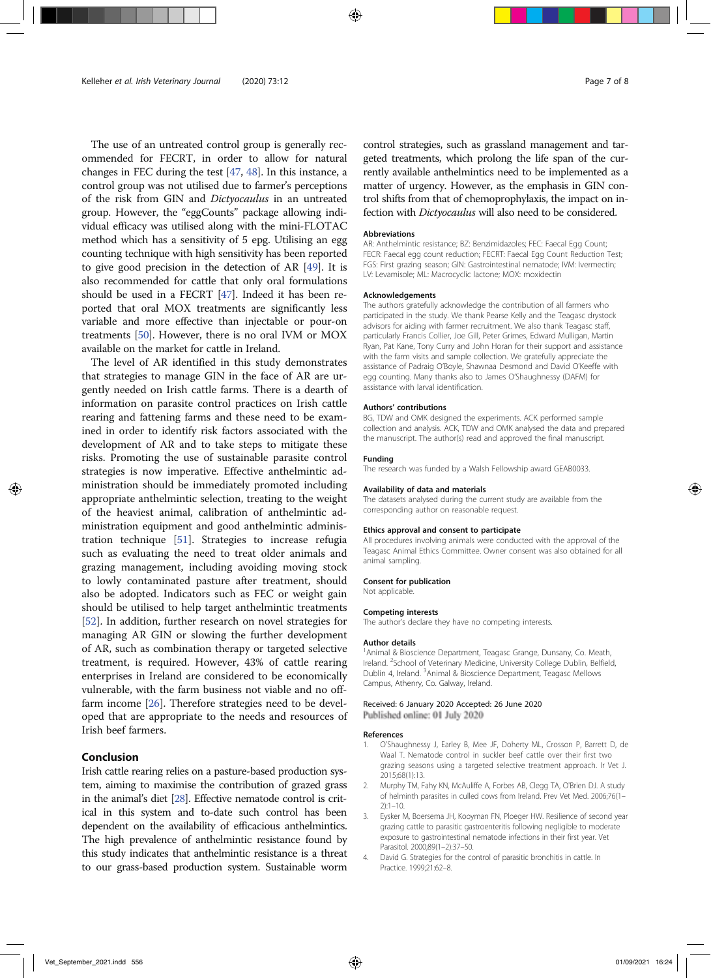The use of an untreated control group is generally recommended for FECRT, in order to allow for natural changes in FEC during the test [47, 48]. In this instance, a control group was not utilised due to farmer's perceptions of the risk from GIN and Dictyocaulus in an untreated group. However, the "eggCounts" package allowing individual efficacy was utilised along with the mini-FLOTAC method which has a sensitivity of 5 epg. Utilising an egg counting technique with high sensitivity has been reported to give good precision in the detection of AR [49]. It is also recommended for cattle that only oral formulations should be used in a FECRT [47]. Indeed it has been reported that oral MOX treatments are significantly less variable and more effective than injectable or pour-on treatments [50]. However, there is no oral IVM or MOX available on the market for cattle in Ireland.

The level of AR identified in this study demonstrates that strategies to manage GIN in the face of AR are urgently needed on Irish cattle farms. There is a dearth of information on parasite control practices on Irish cattle rearing and fattening farms and these need to be examined in order to identify risk factors associated with the development of AR and to take steps to mitigate these risks. Promoting the use of sustainable parasite control strategies is now imperative. Effective anthelmintic administration should be immediately promoted including appropriate anthelmintic selection, treating to the weight of the heaviest animal, calibration of anthelmintic administration equipment and good anthelmintic administration technique [51]. Strategies to increase refugia such as evaluating the need to treat older animals and grazing management, including avoiding moving stock to lowly contaminated pasture after treatment, should also be adopted. Indicators such as FEC or weight gain should be utilised to help target anthelmintic treatments [52]. In addition, further research on novel strategies for managing AR GIN or slowing the further development of AR, such as combination therapy or targeted selective treatment, is required. However, 43% of cattle rearing enterprises in Ireland are considered to be economically vulnerable, with the farm business not viable and no offfarm income [26]. Therefore strategies need to be developed that are appropriate to the needs and resources of Irish beef farmers.

# Conclusion

Irish cattle rearing relies on a pasture-based production system, aiming to maximise the contribution of grazed grass in the animal's diet [28]. Effective nematode control is critical in this system and to-date such control has been dependent on the availability of efficacious anthelmintics. The high prevalence of anthelmintic resistance found by this study indicates that anthelmintic resistance is a threat to our grass-based production system. Sustainable worm

control strategies, such as grassland management and targeted treatments, which prolong the life span of the currently available anthelmintics need to be implemented as a matter of urgency. However, as the emphasis in GIN control shifts from that of chemoprophylaxis, the impact on infection with Dictyocaulus will also need to be considered.

# Abbreviations

AR: Anthelmintic resistance; BZ: Benzimidazoles; FEC: Faecal Egg Count; FECR: Faecal egg count reduction; FECRT: Faecal Egg Count Reduction Test; FGS: First grazing season; GIN: Gastrointestinal nematode; IVM: Ivermectin; LV: Levamisole; ML: Macrocyclic lactone; MOX: moxidectin

#### Acknowledgements

The authors gratefully acknowledge the contribution of all farmers who participated in the study. We thank Pearse Kelly and the Teagasc drystock advisors for aiding with farmer recruitment. We also thank Teagasc staff, particularly Francis Collier, Joe Gill, Peter Grimes, Edward Mulligan, Martin Ryan, Pat Kane, Tony Curry and John Horan for their support and assistance with the farm visits and sample collection. We gratefully appreciate the assistance of Padraig O'Boyle, Shawnaa Desmond and David O'Keeffe with egg counting. Many thanks also to James O'Shaughnessy (DAFM) for assistance with larval identification.

#### Authors' contributions

BG, TDW and OMK designed the experiments. ACK performed sample collection and analysis. ACK, TDW and OMK analysed the data and prepared the manuscript. The author(s) read and approved the final manuscript.

#### Funding

The research was funded by a Walsh Fellowship award GEAB0033.

#### Availability of data and materials

The datasets analysed during the current study are available from the corresponding author on reasonable request.

#### Ethics approval and consent to participate

All procedures involving animals were conducted with the approval of the Teagasc Animal Ethics Committee. Owner consent was also obtained for all animal sampling.

#### Consent for publication

Not applicable.

#### Competing interests

The author's declare they have no competing interests.

#### Author details

<sup>1</sup> Animal & Bioscience Department, Teagasc Grange, Dunsany, Co. Meath, Ireland. <sup>2</sup>School of Veterinary Medicine, University College Dublin, Belfield, Dublin 4, Ireland. <sup>3</sup>Animal & Bioscience Department, Teagasc Mellows Campus, Athenry, Co. Galway, Ireland.

# Received: 6 January 2020 Accepted: 26 June 2020 Published online: 01 July 2020

References

- 1. O'Shaughnessy J, Earley B, Mee JF, Doherty ML, Crosson P, Barrett D, de Waal T. Nematode control in suckler beef cattle over their first two grazing seasons using a targeted selective treatment approach. Ir Vet J. 2015;68(1):13.
- 2. Murphy TM, Fahy KN, McAuliffe A, Forbes AB, Clegg TA, O'Brien DJ. A study of helminth parasites in culled cows from Ireland. Prev Vet Med. 2006;76(1–  $2) \cdot 1 - 10$
- 3. Eysker M, Boersema JH, Kooyman FN, Ploeger HW. Resilience of second year grazing cattle to parasitic gastroenteritis following negligible to moderate exposure to gastrointestinal nematode infections in their first year. Vet Parasitol. 2000;89(1–2):37–50.
- 4. David G. Strategies for the control of parasitic bronchitis in cattle. In Practice. 1999;21:62–8.